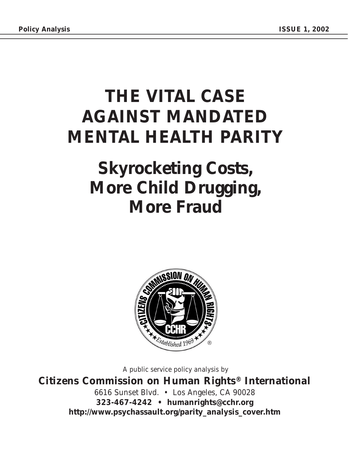## **THE VITAL CASE AGAINST MANDATED MENTAL HEALTH PARITY**

### **Skyrocketing Costs, More Child Drugging, More Fraud**



A public service policy analysis by

**Citizens Commission on Human Rights® International** 6616 Sunset Blvd. • Los Angeles, CA 90028 **323-467-4242 • humanrights@cchr.org http://www.psychassault.org/parity\_analysis\_cover.htm**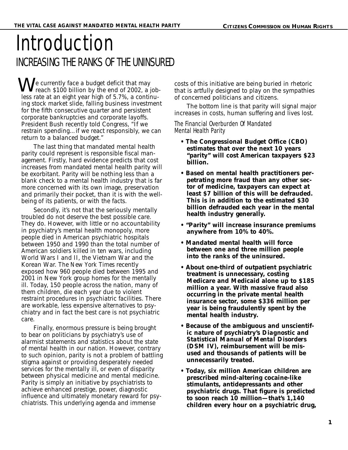### Introduction INCREASING THE RANKS OF THE UNINSURED

 $\mathbf{W}$  e currently face a budget deficit that may<br>reach \$100 billion by the end of 2002, a reach \$100 billion by the end of 2002, a jobless rate at an eight year high of 5.7%, a continuing stock market slide, falling business investment for the fifth consecutive quarter and persistent corporate bankruptcies and corporate layoffs. President Bush recently told Congress, "If we restrain spending…if we react responsibly, we can return to a balanced budget."

The last thing that mandated mental health parity could represent is responsible fiscal management. Firstly, hard evidence predicts that cost increases from mandated mental health parity will be exorbitant. Parity will be nothing less than a blank check to a mental health industry that is far more concerned with its own image, preservation and primarily their pocket, than it is with the wellbeing of its patients, or with the facts.

Secondly, it's not that the seriously mentally troubled do not deserve the *best* possible care. They do. However, with little or no accountability in psychiatry's mental health monopoly, more people died in American psychiatric hospitals between 1950 and 1990 than the total number of American soldiers killed in ten wars, including World Wars I and II, the Vietnam War and the Korean War. *The New York Times* recently exposed how 960 people died between 1995 and 2001 in New York group homes for the mentally ill. Today, 150 people across the nation, many of them children, die each year due to violent restraint procedures in psychiatric facilities. There are workable, less expensive alternatives to psychiatry and in fact the best care is *not* psychiatric care.

Finally, enormous pressure is being brought to bear on politicians by psychiatry's use of alarmist statements and statistics about the state of mental health in our nation. However, contrary to such opinion, parity is not a problem of battling stigma against or providing desperately needed services for the mentally ill, or even of disparity between physical medicine and mental medicine. Parity is simply an initiative by psychiatrists to achieve enhanced prestige, power, diagnostic influence and ultimately monetary reward *for* psychiatrists. This underlying agenda and immense

costs of this initiative are being buried in rhetoric that is artfully designed to play on the sympathies of concerned politicians and citizens.

The bottom line is that parity will signal major increases in costs, human suffering and lives lost.

#### The Financial Overburden Of Mandated Mental Health Parity

- **The Congressional Budget Office (CBO) estimates that over the next 10 years "parity" will cost American taxpayers \$23 billion.**
- **Based on mental health practitioners perpetrating more fraud than any other sector of medicine, taxpayers can expect at least \$7 billion of this will be defrauded. This is in addition to the estimated \$30 billion defrauded each year in the mental health industry generally.**
- **"Parity" will increase insurance premiums anywhere from 10% to 40%.**
- **Mandated mental health will force between one and three million people into the ranks of the uninsured.**
- **About one-third of outpatient psychiatric treatment is unnecessary, costing Medicare and Medicaid alone up to \$185 million a year. With massive fraud also occurring in the private mental health insurance sector, some \$336 million per year is being fraudulently spent by the mental health industry.**
- **Because of the ambiguous and unscientific nature of psychiatry's** *Diagnostic and Statistical Manual of Mental Disorders (DSM IV)***, reimbursement will be misused and thousands of patients will be unnecessarily treated.**
- **Today, six million American children are prescribed mind-altering cocaine-like stimulants, antidepressants and other psychiatric drugs. That figure is predicted to soon reach 10 million—that's 1,140 children every hour on a psychiatric drug,**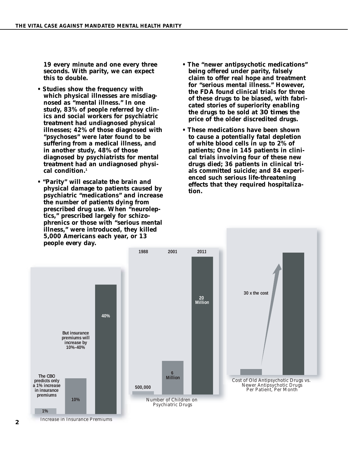**19 every minute and one every three seconds. With parity, we can expect this to double.**

- **Studies show the frequency with which physical illnesses are misdiagnosed as "mental illness." In one study, 83% of people referred by clinics and social workers for psychiatric treatment had undiagnosed physical illnesses; 42% of those diagnosed with "psychoses" were later found to be suffering from a medical illness, and in another study, 48% of those diagnosed by psychiatrists for mental treatment had an undiagnosed physical condition.1**
- **"Parity" will escalate the brain and physical damage to patients caused by psychiatric "medications" and increase the number of patients dying from prescribed drug use. When "neuroleptics," prescribed largely for schizophrenics or those with "serious mental illness," were introduced, they killed 5,000 Americans each year, or 13 people** *every* **day.**
- **The "newer antipsychotic medications" being offered under parity, falsely claim to offer real hope and treatment for "serious mental illness." However, the FDA found clinical trials for three of these drugs to be biased, with fabricated stories of superiority enabling the drugs to be sold at** *30 times* **the price of the older discredited drugs.**
- **These medications have been shown to cause a potentially fatal depletion of white blood cells in up to 2% of patients; One in 145 patients in clinical trials involving four of these new drugs died; 36 patients in clinical trials committed suicide; and 84 experienced such serious life-threatening effects that they required hospitalization.**



Increase in Insurance Premiums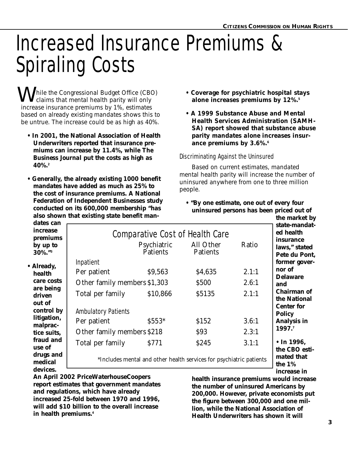# Increased Insurance Premiums & Spiraling Costs

**W** hile the Congressional Budget Office (CBO)<br>claims that mental health parity will only claims that mental health parity will only increase insurance premiums by 1%, estimates based on already existing mandates shows this to be untrue. The increase could be as high as 40%.

- **In 2001, the National Association of Health Underwriters reported that insurance premiums can increase by 11.4%, while** *The Business Journal* **put the costs as high as 40%.2**
- **Generally, the already existing 1000 benefit mandates have added as much as 25% to the cost of insurance premiums. A National Federation of Independent Businesses study conducted on its 600,000 membership "has also shown that existing state benefit man-**
- **Coverage for psychiatric hospital stays alone increases premiums by 12%.5**
- **A 1999 Substance Abuse and Mental Health Services Administration (SAMH-SA) report showed that substance abuse parity mandates** *alone* **increases insurance premiums by 3.6%.6**

#### Discriminating Against the Uninsured

Based on current estimates, mandated mental health parity will increase the number of uninsured anywhere from one to three million people.

**• "By one estimate, one out of every four uninsured persons has been priced out of**

|                                                         | also shown that existing state benefit man-                                                                                                                                     |          |             |                                    | the market by                                                                    |
|---------------------------------------------------------|---------------------------------------------------------------------------------------------------------------------------------------------------------------------------------|----------|-------------|------------------------------------|----------------------------------------------------------------------------------|
| dates can<br>increase<br>premiums<br>by up to<br>30%."3 | <b>Comparative Cost of Health Care</b><br>Psychiatric<br>All Other<br>Patients<br><b>Patients</b>                                                                               |          |             | Ratio                              | state-mandat-<br>ed health<br><i>insurance</i><br>laws," stated<br>Pete du Pont, |
| • Already,                                              | <b>Inpatient</b>                                                                                                                                                                |          |             |                                    | former gover-                                                                    |
| health                                                  | Per patient                                                                                                                                                                     | \$9,563  | \$4,635     | 2.1:1                              | nor of<br><b>Delaware</b>                                                        |
| care costs                                              | Other family members \$1,303                                                                                                                                                    |          | \$500       | 2.6:1                              | and                                                                              |
| are being<br>driven                                     | Total per family                                                                                                                                                                | \$10,866 | \$5135      | 2.1:1                              | <b>Chairman of</b><br>the National                                               |
| out of<br>control by                                    | <b>Ambulatory Patients</b>                                                                                                                                                      |          |             | <b>Center for</b><br><b>Policy</b> |                                                                                  |
| litigation,<br>malprac-                                 | Per patient                                                                                                                                                                     | $$553*$  | \$152       | 3.6:1                              | <b>Analysis in</b>                                                               |
| tice suits,                                             | Other family members \$218                                                                                                                                                      |          | \$93        | 2.3:1                              | 1997.7                                                                           |
| fraud and<br>use of                                     | Total per family                                                                                                                                                                | S771     | <b>S245</b> | 3.1:1                              | $\cdot$ In 1996,<br>the CBO esti-                                                |
| drugs and<br>medical<br>devices.                        | *Includes mental and other health services for psychiatric patients                                                                                                             |          |             |                                    | mated that<br>the $1\%$                                                          |
|                                                         | $\Lambda_{\text{m}}$ , $\Lambda_{\text{m}}$ , $\Omega_{\text{m}}$ , $\Omega_{\text{m}}$ , $\Omega_{\text{m}}$ , $\Omega_{\text{m}}$ , $\Omega_{\text{m}}$ , $\Omega_{\text{m}}$ |          |             |                                    | increase in                                                                      |

**An April 2002 PriceWaterhouseCoopers report estimates that government mandates and regulations, which have already increased 25-fold between 1970 and 1996, will add \$10 billion to the overall increase in health premiums.4**

**health insurance premiums would increase the number of uninsured Americans by 200,000. However, private economists put the figure between 300,000 and one million, while the National Association of Health Underwriters has shown it will**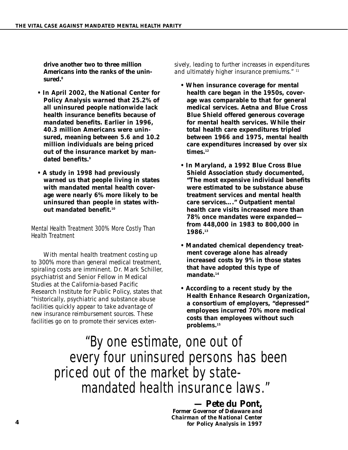**drive another two to three million Americans into the ranks of the uninsured.8**

- **In April 2002, the National Center for Policy Analysis warned that 25.2% of all uninsured people nationwide lack health insurance benefits because of mandated benefits. Earlier in 1996, 40.3 million Americans were uninsured, meaning between 5.6 and 10.2 million individuals are being priced out of the insurance market by mandated benefits.9**
- **A study in 1998 had previously warned us that people living in states with mandated mental health coverage were nearly 6% more likely to be uninsured than people in states without mandated benefit.10**

#### Mental Health Treatment 300% More Costly Than Health Treatment

With mental health treatment costing up to 300% more than general medical treatment, spiraling costs are imminent. Dr. Mark Schiller, psychiatrist and Senior Fellow in Medical Studies at the California-based Pacific Research Institute for Public Policy, states that *"historically, psychiatric and substance abuse facilities quickly appear to take advantage of new insurance reimbursement sources. These facilities go on to promote their services exten-* *sively, leading to further increases in expenditures and ultimately higher insurance premiums."* <sup>11</sup>

- **When insurance coverage for mental health care began in the 1950s, coverage was comparable to that for general medical services. Aetna and Blue Cross Blue Shield offered generous coverage for mental health services. While their total health care expenditures tripled between 1966 and 1975, mental health care expenditures** *increased* **by over** *six* times.<sup>12</sup>
- **In Maryland, a 1992 Blue Cross Blue Shield Association study documented, "The most expensive individual benefits were estimated to be substance abuse treatment services and mental health care services…." Outpatient mental health care visits increased more than 78% once mandates were expanded from 448,000 in 1983 to 800,000 in 1986.13**
- **Mandated chemical dependency treatment coverage alone has already increased costs by 9% in those states that have adopted this type of mandate.14**
- **According to a recent study by the Health Enhance Research Organization, a consortium of employers, "depressed" employees incurred 70% more medical costs than employees without such problems.15**

### "By one estimate, one out of every four uninsured persons has been priced out of the market by statemandated health insurance laws."

*— Pete du Pont, Former Governor of Delaware and Chairman of the National Center for Policy Analysis in 1997*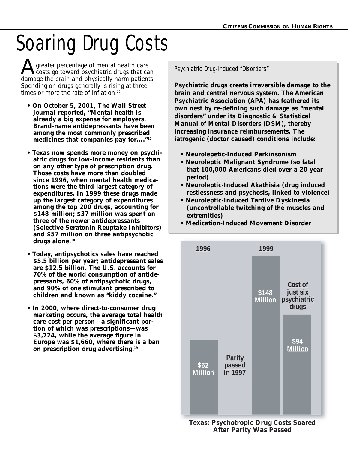# Soaring Drug Costs

A greater percentage of mental health care<br>
costs go toward psychiatric drugs that can<br>
damage the brain and physically harm patients **L** costs go toward psychiatric drugs that can damage the brain and physically harm patients. Spending on drugs generally is rising at three times or more the rate of inflation.<sup>16</sup>

- **On October 5, 2001,** *The Wall Street Journal* **reported, "Mental health is already a big expense for employers. Brand-name antidepressants have been among the most commonly prescribed medicines that companies pay for…."17**
- **Texas now spends more money on psychiatric drugs for low-income residents than on any other type of prescription drug. Those costs have more than doubled since 1996, when mental health medications were the third largest category of expenditures. In 1999 these drugs made up the largest category of expenditures among the top 200 drugs, accounting for \$148 million; \$37 million was spent on three of the newer antidepressants (Selective Seratonin Reuptake Inhibitors) and \$57 million on three antipsychotic drugs alone.18**
- **Today, antipsychotics sales have reached \$5.5 billion per year; antidepressant sales are \$12.5 billion. The U.S. accounts for 70% of the world consumption of antidepressants, 60% of antipsychotic drugs, and 90% of** *one* **stimulant prescribed to children and known as "kiddy cocaine."**
- **In 2000, where direct-to-consumer drug marketing occurs, the average total health care cost per person—a significant portion of which was prescriptions—was \$3,724, while the average figure in Europe was \$1,660, where there is a ban on prescription drug advertising.19**

**Psychiatric drugs create irreversible damage to the brain and central nervous system. The American Psychiatric Association (APA) has feathered its own nest by re-defining such damage as "mental disorders" under its** *Diagnostic & Statistical Manual of Mental Disorders (DSM)***, thereby increasing insurance reimbursements. The iatrogenic (doctor caused) conditions include:**

- **Neurolepetic-Induced Parkinsonism**
- **Neuroleptic Malignant Syndrome (so fatal that 100,000 Americans died over a 20 year period)**
- **Neuroleptic-Induced Akathisia (drug induced restlessness and psychosis, linked to violence)**
- **Neuroleptic-Induced Tardive Dyskinesia (uncontrollable twitching of the muscles and extremities)**
- **Medication-Induced Movement Disorder**



**Texas: Psychotropic Drug Costs Soared After Parity Was Passed**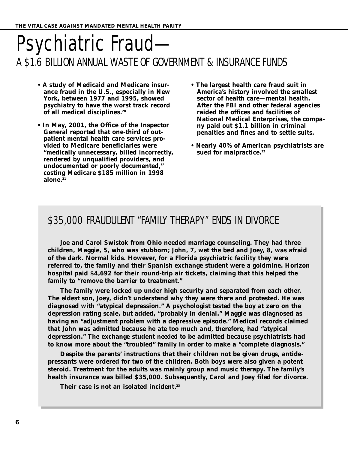### Psychiatric Fraud— A \$1.6 BILLION ANNUAL WASTE OF GOVERNMENT & INSURANCE FUNDS

- **A study of Medicaid and Medicare insurance fraud in the U.S., especially in New York, between 1977 and 1995, showed psychiatry to have the worst track record of all medical disciplines.20**
- **In May, 2001, the Office of the Inspector General reported that one-third of outpatient mental health care services provided to Medicare beneficiaries were "medically unnecessary, billed incorrectly, rendered by unqualified providers, and undocumented or poorly documented," costing Medicare \$185 million in 1998 alone.21**
- **The largest health care fraud suit in America's history involved the smallest sector of health care—mental health. After the FBI and other federal agencies raided the offices and facilities of National Medical Enterprises, the company paid out \$1.1 billion in criminal penalties and fines and to settle suits.**
- **Nearly 40% of American psychiatrists are** sued for malpractice.<sup>22</sup>

### \$35,000 FRAUDULENT "FAMILY THERAPY" ENDS IN DIVORCE

**Joe and Carol Swistok from Ohio needed marriage counseling. They had three children, Maggie, 5, who was stubborn; John, 7, wet the bed and Joey, 8, was afraid of the dark. Normal kids. However, for a Florida psychiatric facility they were referred to, the family and their Spanish exchange student were a goldmine. Horizon hospital paid \$4,692 for their round-trip air tickets, claiming that this helped the family to "remove the barrier to treatment."** 

**The family were locked up under high security and separated from each other. The eldest son, Joey, didn't understand why they were there and protested. He was diagnosed with "atypical depression." A psychologist tested the boy at zero on the depression rating scale, but added, "probably in denial." Maggie was diagnosed as having an "adjustment problem with a depressive episode." Medical records claimed that John was admitted because he ate too much and, therefore, had "atypical depression." The exchange student** *needed* **to be admitted because psychiatrists had to know more about the "troubled" family in order to make a "complete diagnosis."** 

**Despite the parents' instructions that their children not be given drugs, antidepressants were ordered for two of the children. Both boys were also given a potent steroid. Treatment for the adults was mainly group and music therapy. The family's health insurance was billed \$35,000. Subsequently, Carol and Joey filed for divorce.** 

**Their case is not an isolated incident.23**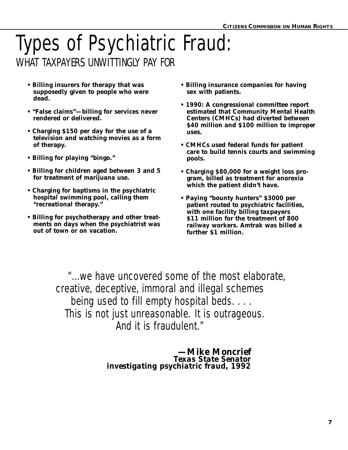### Types of Psychiatric Fraud: WHAT TAXPAYERS UNWITTINGLY PAY FOR

- **Billing insurers for therapy that was supposedly given to people who were dead.**
- **"False claims"—billing for services never rendered or delivered.**
- **Charging \$150 per day for the use of a television and watching movies as a form of therapy.**
- **Billing for playing "bingo."**
- **Billing for children aged between 3 and 5 for treatment of marijuana use.**
- **Charging for baptisms in the psychiatric hospital swimming pool, calling them "recreational therapy."**
- **Billing for psychotherapy and other treatments on days when the psychiatrist was out of town or on vacation.**
- **Billing insurance companies for having sex with patients.**
- **1990: A congressional committee report estimated that Community Mental Health Centers (CMHCs) had diverted between \$40 million and \$100 million to** *improper* **uses.**
- **CMHCs used federal funds for patient care to build tennis courts and swimming pools.**
- **Charging \$80,000 for a weight loss program, billed as treatment for anorexia which the patient didn't have.**
- **Paying "bounty hunters" \$3000 per patient routed to psychiatric facilities, with one facility billing taxpayers \$11 million for the treatment of 800 railway workers. Amtrak was billed a further \$1 million.**

"...we have uncovered some of the most elaborate, creative, deceptive, immoral and illegal schemes being used to fill empty hospital beds. . . . This is not just unreasonable. It is outrageous. And it is fraudulent."

> *—Mike Moncrief Texas State Senator investigating psychiatric fraud, 1992*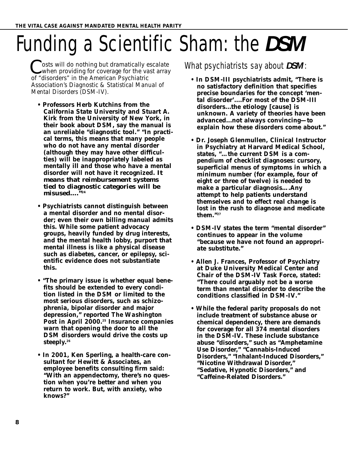# Funding a Scientific Sham: the *DSM*

osts will do nothing but dramatically escalate  $\lambda$  when providing for coverage for the vast array  $\int$  osts will do nothing but dramatically  $\epsilon$  when providing for coverage for the value of "disorders" in the American Psychiatric Association's *Diagnostic & Statistical Manual of Mental Disorders (DSM-IV)*.

- **Professors Herb Kutchins from the California State University and Stuart A. Kirk from the University of New York, in their book about** *DSM***, say the manual is an unreliable "diagnostic tool." "In practical terms, this means that many people who do not have any mental disorder (although they may have other difficulties) will be inappropriately labeled as mentally ill and those who have a mental disorder will not have it recognized. It means that reimbursement systems tied to diagnostic categories will be misused…."24**
- **Psychiatrists cannot distinguish between a mental disorder and no mental disorder; even their own billing manual admits this. While some patient advocacy groups, heavily funded by drug interests, and the mental health lobby, purport that mental illness is like a physical disease such as diabetes, cancer, or epilepsy, scientific evidence does not substantiate this.**
- **"The primary issue is whether equal benefits should be extended to every condition listed in the** *DSM* **or limited to the most serious disorders, such as schizophrenia, bipolar disorder and major depression," reported** *The Washington Post* **in April 2000.25 Insurance companies warn that opening the door to all the** *DSM* **disorders would drive the costs up steeply.26**
- **In 2001, Ken Sperling, a health-care consultant for Hewitt & Associates, an employee benefits consulting firm said: "With an appendectomy, there's no question when you're better and when you return to work. But, with anxiety, who knows?"**

#### What psychiatrists say about *DSM* :

- **In** *DSM-III* **psychiatrists admit, "There is no satisfactory definition that specifies precise boundaries for the concept 'mental disorder'....For most of the** *DSM-III* **disorders...the etiology [cause] is unknown. A variety of theories have been advanced...not always convincing—to explain how these disorders come about."**
- **Dr. Joseph Glenmullen, Clinical Instructor in Psychiatry at Harvard Medical School, states, "…the current** *DSM* **is a compendium of checklist diagnoses: cursory, superficial menus of symptoms in which a minimum number (for example, four of eight or three of twelve) is needed to make a particular diagnosis….Any attempt to help patients understand themselves and to effect real change is lost in the rush to diagnose and medicate them."27**
- *DSM-IV* **states the term "mental disorder" continues to appear in the volume "because we have not found an appropriate substitute."**
- **Allen J. Frances, Professor of Psychiatry at Duke University Medical Center and Chair of the** *DSM-IV* **Task Force, stated: "There could arguably not be a worse term than mental disorder to describe the conditions classified in** *DSM-IV***."**
- **• While the federal parity proposals do not include treatment of substance abuse or chemical dependency, there are demands for coverage for all 374 mental disorders in the** *DSM-IV***. These include substance abuse "disorders," such as "Amphetamine Use Disorder," "Cannabis-Induced Disorders," "Inhalant-Induced Disorders," "Nicotine Withdrawal Disorder," "Sedative, Hypnotic Disorders," and "Caffeine-Related Disorders."**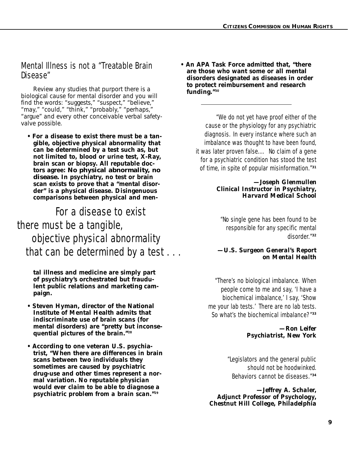#### Mental Illness is not a "Treatable Brain Disease"

Review any studies that purport there is a biological cause for mental disorder and you will find the words: "suggests," "suspect," "believe," "may," "could," "think," "probably," "perhaps," "argue" and every other conceivable verbal safetyvalve possible.

**• For a disease to exist there must be a tangible, objective physical abnormality that can be determined by a test such as, but not limited to, blood or urine test, X-Ray, brain scan or biopsy. All reputable doctors agree: No physical abnormality, no disease. In psychiatry, no test or brain scan exists to prove that a "mental disorder" is a physical disease. Disingenuous comparisons between physical and men-**

### For a disease to exist there must be a tangible, objective physical abnormality that can be determined by a test . . .

**tal illness and medicine are simply part of psychiatry's orchestrated but fraudulent public relations and marketing campaign.**

- **Steven Hyman, director of the National Institute of Mental Health admits that indiscriminate use of brain scans (for mental disorders) are "pretty but inconsequential pictures of the brain."28**
- **According to one veteran U.S. psychiatrist, "When there are differences in brain scans between two individuals they sometimes are caused by psychiatric drug-use and other times represent a normal variation.** *No reputable physician would ever claim to be able to diagnose a psychiatric problem from a brain scan.***"29**

**• An APA Task Force admitted that, "there are those who want some or all mental disorders designated as diseases in order to protect reimbursement and research funding."30** 

> "We do not yet have proof either of the cause or the physiology for any psychiatric diagnosis. In every instance where such an imbalance was thought to have been found, it was later proven false.… No claim of a gene for a psychiatric condition has stood the test of time, in spite of popular misinformation."**<sup>31</sup>**

#### *—Joseph Glenmullen Clinical Instructor in Psychiatry, Harvard Medical School*

"No single gene has been found to be responsible for any specific mental disorder."**<sup>32</sup>**

#### *—U.S. Surgeon General's Report on Mental Health*

"There's no biological imbalance. When people come to me and say, 'I have a biochemical imbalance,' I say, 'Show me your lab tests.' There are no lab tests. So what's the biochemical imbalance?"**<sup>33</sup>**

> *—Ron Leifer Psychiatrist, New York*

"Legislators and the general public should not be hoodwinked. Behaviors cannot be diseases."**<sup>34</sup>**

*—Jeffrey A. Schaler, Adjunct Professor of Psychology, Chestnut Hill College, Philadelphia*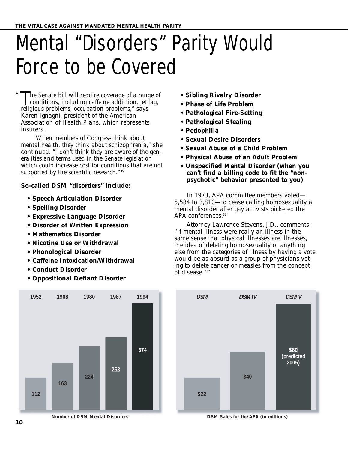# Mental "Disorders" Parity Would Force to be Covered

*he Senate bill will require coverage of a range of* conditions, including caffeine addiction, jet lag, religious problems cocupation problems  $\ddot{\text{ } }$  says *conditions, including caffeine addiction, jet lag, religious problems, occupation problems,"* says Karen Ignagni, president of the American Association of Health Plans, which represents insurers.

*"When members of Congress think about mental health, they think about schizophrenia,"* she continued. *"I don't think they are aware of the generalities and terms used in the Senate legislation which could increase cost for conditions that are not supported by the scientific research."*<sup>35</sup>

#### **So-called** *DSM* **"disorders" include:**

- **Speech Articulation Disorder**
- **Spelling Disorder**
- **Expressive Language Disorder**
- **Disorder of Written Expression**
- **Mathematics Disorder**
- **Nicotine Use or Withdrawal**
- **Phonological Disorder**
- **Caffeine Intoxication/Withdrawal**
- **Conduct Disorder**
- **Oppositional Defiant Disorder**
- **Sibling Rivalry Disorder**
- **Phase of Life Problem**
- **Pathological Fire-Setting**
- **Pathological Stealing**
- **Pedophilia**
- **Sexual Desire Disorders**
- **Sexual Abuse of a Child Problem**
- **Physical Abuse of an Adult Problem**
- **Unspecified Mental Disorder (when you can't find a billing code to fit the "nonpsychotic" behavior presented to you)**

In 1973, APA committee members voted— 5,584 to 3,810—to cease calling homosexuality a mental disorder after gay activists picketed the APA conferences.<sup>36</sup>

Attorney Lawrence Stevens, J.D., comments: "If mental illness were really an illness in the same sense that physical illnesses are illnesses, the idea of deleting homosexuality or anything else from the categories of illness by having a vote would be as absurd as a group of physicians voting to delete cancer or measles from the concept of disease."37



**Number of** *DSM* **Mental Disorders**



*DSM* **Sales for the APA (in millions)**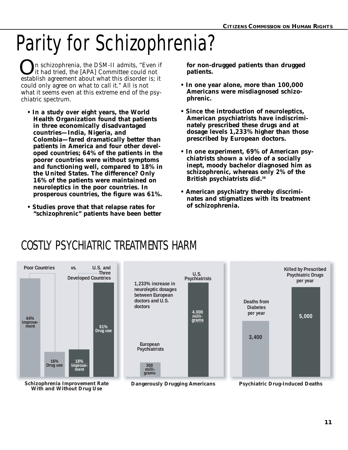# Parity for Schizophrenia?

n schizophrenia, the *DSM-II* admits, "Even if it had tried, the [APA] Committee could not **O**n schizophrenia, the DSM-II admits, "Even if it had tried, the [APA] Committee could not establish agreement about what this disorder is; it could only agree on what to call it." All is not what it seems even at this extreme end of the psychiatric spectrum.

- **In a study over eight years, the World Health Organization found that patients in three economically disadvantaged countries—India, Nigeria, and Colombia—fared dramatically better than patients in America and four other developed countries; 64% of the patients in the poorer countries were without symptoms and functioning well, compared to 18% in the United States. The difference? Only 16% of the patients were maintained on neuroleptics in the poor countries. In prosperous countries, the figure was 61%.**
- **Studies prove that that relapse rates for "schizophrenic" patients have been better**

**for non-drugged patients than drugged patients.**

- **In one year alone, more than 100,000 Americans were** *misdiagnosed* **schizophrenic.**
- **Since the introduction of neuroleptics, American psychiatrists have indiscriminately prescribed these drugs and at dosage levels 1,233% higher than those prescribed by European doctors.**
- **In one experiment, 69% of American psychiatrists shown a video of a socially inept, moody bachelor diagnosed him as schizophrenic, whereas only 2% of the British psychiatrists did.38**
- **American psychiatry thereby discriminates and stigmatizes with its treatment of schizophrenia.**

### COSTLY PSYCHIATRIC TREATMENTS HARM

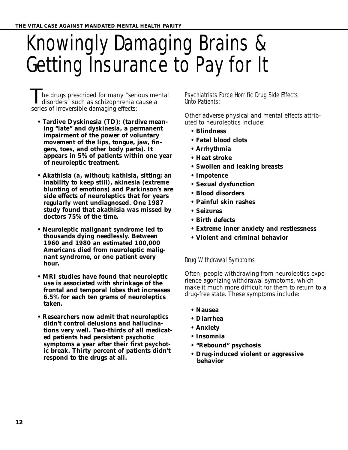# Knowingly Damaging Brains & Getting Insurance to Pay for It

he drugs prescribed for many "serious mental disorders<sup>\*</sup> such as schizophrenia cause a series of irreversible damaging effects: **T** 

- **Tardive Dyskinesia (TD): (***tardive* **meaning "late" and** *dyskinesia***, a permanent impairment of the power of voluntary movement of the lips, tongue, jaw, fingers, toes, and other body parts). It appears in 5% of patients within one year of neuroleptic treatment.**
- **Akathisia (***a,* **without;** *kathisia,* **sitting; an inability to keep still), akinesia (extreme blunting of emotions) and Parkinson's are side effects of neuroleptics that for years regularly went undiagnosed. One 1987 study found that akathisia was missed by doctors 75% of the time.**
- **Neuroleptic malignant syndrome led to thousands dying needlessly. Between 1960 and 1980 an estimated 100,000 Americans died from neuroleptic malignant syndrome, or one patient every hour.**
- **MRI studies have found that neuroleptic use is associated with shrinkage of the frontal and temporal lobes that increases 6.5% for each ten grams of neuroleptics taken.**
- **Researchers now admit that neuroleptics didn't control delusions and hallucinations very well. Two-thirds of all medicated patients had persistent psychotic symptoms a year after their first psychotic break. Thirty percent of patients didn't respond to the drugs at all.**

#### Psychiatrists Force Horrific Drug Side Effects Onto Patients:

Other adverse physical and mental effects attributed to neuroleptics include:

- **Blindness**
- **Fatal blood clots**
- **Arrhythmia**
- **Heat stroke**
- **Swollen and leaking breasts**
- **Impotence**
- **Sexual dysfunction**
- **Blood disorders**
- **Painful skin rashes**
- **Seizures**
- **Birth defects**
- **Extreme inner anxiety and restlessness**
- **Violent and criminal behavior**

#### Drug Withdrawal Symptoms

Often, people withdrawing from neuroleptics experience agonizing withdrawal symptoms, which make it much more difficult for them to return to a drug-free state. These symptoms include:

- **Nausea**
- **Diarrhea**
- **Anxiety**
- **Insomnia**
- **"Rebound" psychosis**
- **Drug-induced violent or aggressive behavior**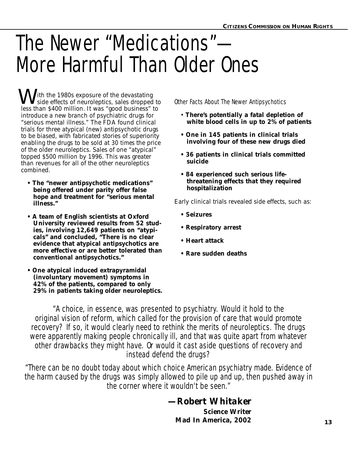# The Newer "Medications"— More Harmful Than Older Ones

**W** ith the 1980s exposure of the devastating<br>side effects of neuroleptics, sales dropped side effects of neuroleptics, sales dropped to less than \$400 million. It was "good business" to introduce a new branch of psychiatric drugs for "serious mental illness." The FDA found clinical trials for three atypical (new) antipsychotic drugs to be biased, with fabricated stories of superiority enabling the drugs to be sold at *30 times* the price of the older neuroleptics. Sales of one "atypical" topped \$500 million by 1996. This was greater than revenues for all of the other neuroleptics combined.

- **The "newer antipsychotic medications" being offered under parity offer false hope and treatment for "serious mental illness."**
- **A team of English scientists at Oxford University reviewed results from 52 studies, involving 12,649 patients on "atypicals" and concluded, "There is no clear evidence that atypical antipsychotics are more effective or are better tolerated than conventional antipsychotics."**
- **One atypical induced extrapyramidal (involuntary movement) symptoms in 42% of the patients, compared to only 29% in patients taking older neuroleptics.**

Other Facts About The Newer Antipsychotics

- **There's potentially a fatal depletion of white blood cells in up to 2% of patients**
- **One in 145 patients in clinical trials involving four of these new drugs died**
- **36 patients in clinical trials committed suicide**
- **84 experienced such serious lifethreatening effects that they required hospitalization**

Early clinical trials revealed side effects, such as:

- **Seizures**
- **Respiratory arrest**
- **Heart attack**
- **Rare sudden deaths**

"A choice, in essence, was presented to psychiatry. Would it hold to the original vision of reform, which called for the provision of care that would promote recovery? If so, it would clearly need to rethink the merits of neuroleptics. The drugs were apparently making people chronically ill, and that was quite apart from whatever other drawbacks they might have. Or would it cast aside questions of recovery and instead defend the drugs?

"There can be no doubt today about which choice American psychiatry made. Evidence of the harm caused by the drugs was simply allowed to pile up and up, then pushed away in the corner where it wouldn't be seen."

#### *—Robert Whitaker*

*Science Writer* **Mad In America,** *2002* **<sup>13</sup>**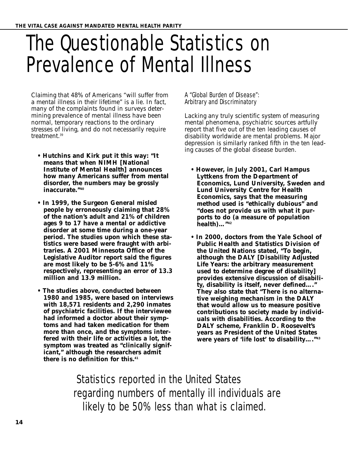## The Questionable Statistics on Prevalence of Mental Illness

Claiming that 48% of Americans "will suffer from a mental illness in their lifetime" is a lie. In fact, many of the complaints found in surveys determining prevalence of mental illness have been normal, temporary reactions to the ordinary stresses of living, and do not necessarily require treatment.<sup>39</sup>

- **Hutchins and Kirk put it this way: "It means that when NIMH [National Institute of Mental Health] announces how many Americans suffer from mental disorder, the numbers may be grossly inaccurate."40**
- **In 1999, the Surgeon General misled people by erroneously claiming that 28% of the nation's adult and 21% of children ages 9 to 17 have a mental or addictive disorder at some time during a one-year period. The studies upon which these statistics were based were fraught with arbitraries. A 2001 Minnesota Office of the Legislative Auditor report said the figures are most likely to be 5-6% and 11% respectively, representing an error of 13.3 million and 13.9 million.**
- **The studies above, conducted between 1980 and 1985, were based on interviews with 18,571 residents and 2,290 inmates of psychiatric facilities. If the interviewee had informed a doctor about their symptoms and had taken medication for them more than once, and the symptoms interfered with their life or activities a lot, the symptom was treated as "clinically significant," although the researchers admit there is no definition for this.41**

#### A "Global Burden of Disease": Arbitrary and Discriminatory

Lacking any truly scientific system of measuring mental phenomena, psychiatric sources artfully report that five out of the ten leading causes of disability worldwide are mental problems. Major depression is similarly ranked fifth in the ten leading causes of the global disease burden.

- **However, in July 2001, Carl Hampus Lyttkens from the Department of Economics, Lund University, Sweden and Lund University Centre for Health Economics, says that the measuring method used is "ethically dubious" and "does not provide us with what it purports to do (a measure of population health)…"42**
- **In 2000, doctors from the Yale School of Public Health and Statistics Division of the United Nations stated, "To begin, although the DALY [Disability Adjusted Life Years: the arbitrary measurement used to determine degree of disability] provides extensive discussion of disability, disability is itself, never defined…." They also state that "There is no alternative weighing mechanism in the DALY that would allow us to measure positive contributions to society made by individuals with disabilities. According to the DALY scheme, Franklin D. Roosevelt's years as President of the United States were years of 'life lost' to disability…."43**

Statistics reported in the United States regarding numbers of mentally ill individuals are likely to be 50% less than what is claimed.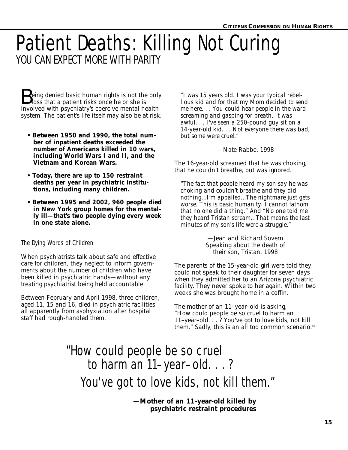### Patient Deaths: Killing Not Curing YOU CAN EXPECT MORE WITH PARITY

**B**eing denied basic human rights is not the only<br>loss that a patient risks once he or she is<br>involved with prushistry's correive mental health  $\bigcup$  loss that a patient risks once he or she is involved with psychiatry's coercive mental health system. The patient's life itself may also be at risk.

- **Between 1950 and 1990, the total number of inpatient deaths exceeded the number of Americans killed in 10 wars, including World Wars I and II, and the Vietnam and Korean Wars.**
- **Today, there are up to 150 restraint deaths per year in psychiatric institutions, including many children.**
- **Between 1995 and 2002, 960 people died in New York group homes for the mentally ill—that's two people dying every week in one state alone.**

#### The Dying Words of Children

When psychiatrists talk about safe and effective care for children, they neglect to inform governments about the number of children who have been killed in psychiatric hands—without any treating psychiatrist being held accountable.

Between February and April 1998, three children, aged 11, 15 and 16, died in psychiatric facilities all apparently from asphyxiation after hospital staff had rough-handled them.

*"I was 15 years old. I was your typical rebellious kid and for that my Mom decided to send me here. . . You could hear people in the ward screaming and gasping for breath. It was awful. . . I've seen a 250-pound guy sit on a 14-year-old kid. . . Not everyone there was bad, but some were cruel."*

—Nate Rabbe, 1998

The 16-year-old screamed that he was choking, that he couldn't breathe, but was ignored.

*"The fact that people heard my son say he was choking and couldn't breathe and they did nothing...I'm appalled...The nightmare just gets worse. This is basic humanity. I cannot fathom that no one did a thing." And "No one told me they heard Tristan scream...That means the last minutes of my son's life were a struggle."*

> —Jean and Richard Sovern Speaking about the death of their son, Tristan, 1998

The parents of the 15-year-old girl were told they could not speak to their daughter for seven days when they admitted her to an Arizona psychiatric facility. They never spoke to her again. Within two weeks she was brought home in a coffin.

The mother of an 11–year–old is asking, "How could people be so cruel to harm an 11–year–old. . . ? You've got to love kids, not kill them." Sadly, this is an all too common scenario.<sup>44</sup>

### "How could people be so cruel to harm an 11–year–old. . . ? You've got to love kids, not kill them."

**—Mother of an 11-year-old killed by psychiatric restraint procedures**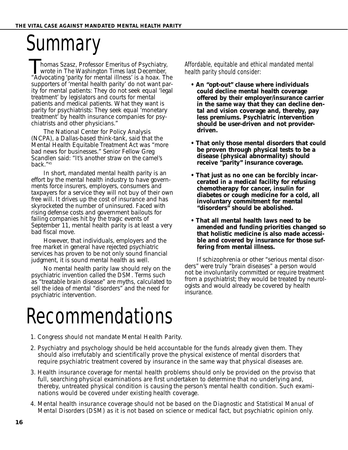## **Summary**

**Thomas Szasz, Professor Emeritus of Psychiatry,**<br>wrote in *The Washington Times* last December,<br>"Advocating 'parity for mental illness' is a hoax *Th* wrote in *The Washington Times* last December, "Advocating 'parity for mental illness' is a hoax. The supporters of 'mental health parity' do not want parity for mental patients: They do not seek equal 'legal treatment' by legislators and courts for mental patients and medical patients. What they want is parity for psychiatrists: They seek equal 'monetary treatment' by health insurance companies for psychiatrists and other physicians."

The National Center for Policy Analysis (NCPA), a Dallas-based think-tank, said that the Mental Health Equitable Treatment Act was "more bad news for businesses." Senior Fellow Greg Scandlen said: "It's another straw on the camel's back."45

In short, mandated mental health parity is an effort by the mental health industry to have governments force insurers, employers, consumers and taxpayers for a service they will not buy of their own free will. It drives up the cost of insurance and has skyrocketed the number of uninsured. Faced with rising defense costs and government bailouts for failing companies hit by the tragic events of September 11, mental health parity is at least a very bad fiscal move.

However, that individuals, employers and the free market in general have rejected psychiatric services has proven to be not only sound financial judgment, it is sound mental health as well.

No mental health parity law should rely on the psychiatric invention called the *DSM*. Terms such as "treatable brain disease" are myths, calculated to sell the idea of mental "disorders" and the need for psychiatric intervention.

Affordable, equitable and ethical mandated mental health parity should consider:

- **An "opt-out" clause where individuals could decline mental health coverage offered by their employer/insurance carrier in the same way that they can decline dental and vision coverage and, thereby, pay less premiums. Psychiatric intervention should be user-driven and not providerdriven.**
- **That only those mental disorders that could be proven through physical tests to be a disease (physical abnormality) should receive "parity" insurance coverage.**
- **That just as no one can be forcibly incarcerated in a medical facility for refusing chemotherapy for cancer, insulin for diabetes or cough medicine for a cold, all involuntary commitment for mental "disorders" should be abolished.**
- **That all mental health laws need to be amended and funding priorities changed so that holistic medicine is also made accessible and covered by insurance for those suffering from mental illness.**

If schizophrenia or other "serious mental disorders" were truly "brain diseases" a person would not be involuntarily committed or require treatment from a psychiatrist; they would be treated by neurologists and would already be covered by health insurance.

## Recommendations

- 1. Congress *should not* mandate Mental Health Parity.
- 2. Psychiatry and psychology should be held accountable for the funds already given them. They should also irrefutably and scientifically prove the physical existence of mental disorders that require psychiatric treatment covered by insurance in the same way that physical diseases are.
- 3. Health insurance coverage for mental health problems should only be provided on the proviso that full, searching physical examinations are first undertaken to determine that no underlying and, thereby, untreated physical condition is causing the person's mental health condition. Such examinations would be covered under existing health coverage.
- 4. Mental health insurance coverage should not be based on the *Diagnostic and Statistical Manual of Mental Disorders (DSM)* as it is not based on science or medical fact, but psychiatric opinion only.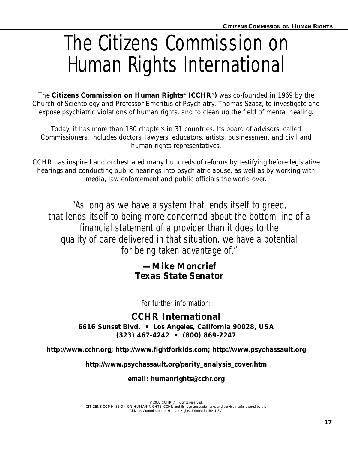# The Citizens Commission on Human Rights International

The **Citizens Commission on Human Rights® (CCHR®)** was co-founded in 1969 by the Church of Scientology and Professor Emeritus of Psychiatry, Thomas Szasz, to investigate and expose psychiatric violations of human rights, and to clean up the field of mental healing.

Today, it has more than 130 chapters in 31 countries. Its board of advisors, called Commissioners, includes doctors, lawyers, educators, artists, businessmen, and civil and human rights representatives.

CCHR has inspired and orchestrated many hundreds of reforms by testifying before legislative hearings and conducting public hearings into psychiatric abuse, as well as by working with media, law enforcement and public officials the world over.

"As long as we have a system that lends itself to greed, that lends itself to being more concerned about the bottom line of a financial statement of a provider than it does to the quality of care delivered in that situation, we have a potential for being taken advantage of."

#### *—Mike Moncrief Texas State Senator*

For further information:

**CCHR International**

**6616 Sunset Blvd. • Los Angeles, California 90028, USA (323) 467-4242 • (800) 869-2247**

**http://www.cchr.org; http://www.fightforkids.com; http://www.psychassault.org**

**http://www.psychassault.org/parity\_analysis\_cover.htm**

**email: humanrights@cchr.org**